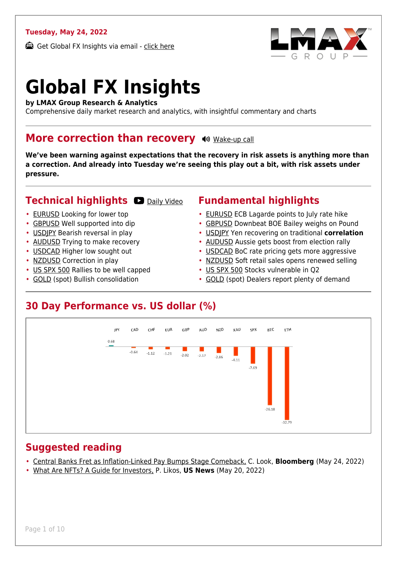### **Tuesday, May 24, 2022**

Get Global FX Insights via email - [click here](https://www.lmax.com/blog/global-fx-insights/sign-up/?src=gfxipdf)



# **Global FX Insights**

**by LMAX Group Research & Analytics**

Comprehensive daily market research and analytics, with insightful commentary and charts

### **More correction than recovery**  $\rightsquigarrow$  **[Wake-up call](https://www.lmax.com/blog/global-fx-insights/2022/05/24/more-correction-than-recovery/?utm_source=GlobalFXInsights-Newsletter&utm_medium=Email&utm_campaign=GlobalFXInsights&audio=play#wakeup-53641)**

**We've been warning against expectations that the recovery in risk assets is anything more than a correction. And already into Tuesday we're seeing this play out a bit, with risk assets under pressure.**

### **Technical highlights CO** [Daily Video](https://www.lmax.com/blog/global-fx-insights/2022/05/24/more-correction-than-recovery/?utm_source=GlobalFXInsights-Newsletter&utm_medium=Email&utm_campaign=GlobalFXInsights&popup=watch#charttalk-53641)

- 
- [EURUSD](#page-1-0) Looking for lower top
- [GBPUSD](#page-2-0) Well supported into dip
- [USDJPY](#page-3-0) Bearish reversal in play
- [AUDUSD](#page-4-0) Trying to make recovery
- [USDCAD](#page-5-0) Higher low sought out
- [NZDUSD](#page-6-0) Correction in play
- [US SPX 500](#page-7-0) Rallies to be well capped
- [GOLD](#page-8-0) (spot) Bullish consolidation

### **Fundamental highlights**

- [EURUSD](#page-1-1) ECB Lagarde points to July rate hike
- [GBPUSD](#page-2-1) Downbeat BOE Bailey weighs on Pound
- [USDJPY](#page-3-1) Yen recovering on traditional **correlation**
- [AUDUSD](#page-4-1) Aussie gets boost from election rally
- [USDCAD](#page-5-1) BoC rate pricing gets more aggressive
- [NZDUSD](#page-6-1) Soft retail sales opens renewed selling
- [US SPX 500](#page-7-1) Stocks vulnerable in Q2
- [GOLD](#page-8-1) (spot) Dealers report plenty of demand

### **30 Day Performance vs. US dollar (%)**



### **Suggested reading**

- [Central Banks Fret as Inflation-Linked Pay Bumps Stage Comeback,](https://www.lmax.com/blog/global-fx-insights/2022/05/24/more-correction-than-recovery/?read=https://www.bloomberg.com/news/articles/2022-05-24/central-banks-fret-as-inflation-linked-pay-bumps-stage-comeback?srnd=markets-vp) C. Look, **Bloomberg** (May 24, 2022)
- [What Are NFTs? A Guide for Investors,](https://www.lmax.com/blog/global-fx-insights/2022/05/24/more-correction-than-recovery/?read=https://money.usnews.com/investing/cryptocurrency/articles/what-are-nfts-a-guide-for-investors) P. Likos, **US News** (May 20, 2022)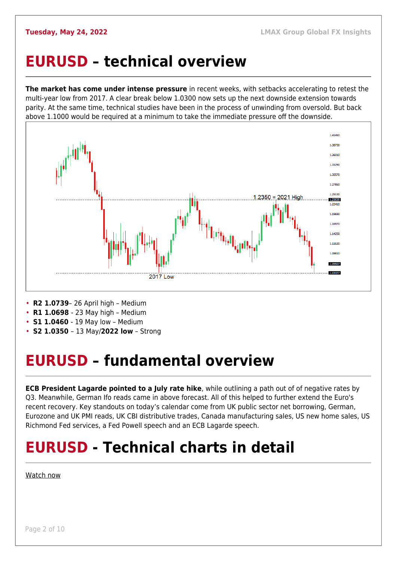### <span id="page-1-0"></span>**EURUSD – technical overview**

**The market has come under intense pressure** in recent weeks, with setbacks accelerating to retest the multi-year low from 2017. A clear break below 1.0300 now sets up the next downside extension towards parity. At the same time, technical studies have been in the process of unwinding from oversold. But back above 1.1000 would be required at a minimum to take the immediate pressure off the downside.



• **R2 1.0739**– 26 April high – Medium

- **R1 1.0698**  23 May high Medium
- **S1 1.0460**  19 May low Medium
- **S2 1.0350**  13 May/**2022 low** Strong

## <span id="page-1-1"></span>**EURUSD – fundamental overview**

**ECB President Lagarde pointed to a July rate hike**, while outlining a path out of of negative rates by Q3. Meanwhile, German Ifo reads came in above forecast. All of this helped to further extend the Euro's recent recovery. Key standouts on today's calendar come from UK public sector net borrowing, German, Eurozone and UK PMI reads, UK CBI distributive trades, Canada manufacturing sales, US new home sales, US Richmond Fed services, a Fed Powell speech and an ECB Lagarde speech.

## **EURUSD - Technical charts in detail**

### [Watch now](https://youtu.be/KIAuQ9hDSNU)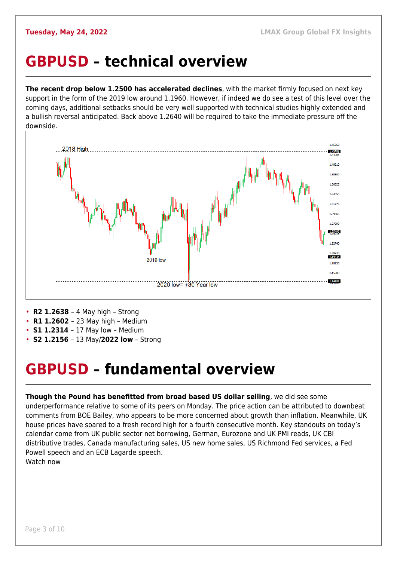### <span id="page-2-0"></span>**GBPUSD – technical overview**

**The recent drop below 1.2500 has accelerated declines**, with the market firmly focused on next key support in the form of the 2019 low around 1.1960. However, if indeed we do see a test of this level over the coming days, additional setbacks should be very well supported with technical studies highly extended and a bullish reversal anticipated. Back above 1.2640 will be required to take the immediate pressure off the downside.



- **R2 1.2638**  4 May high Strong
- **R1 1.2602**  23 May high Medium
- **S1 1.2314**  17 May low Medium
- **S2 1.2156**  13 May/**2022 low** Strong

### <span id="page-2-1"></span>**GBPUSD – fundamental overview**

**Though the Pound has benefitted from broad based US dollar selling**, we did see some underperformance relative to some of its peers on Monday. The price action can be attributed to downbeat comments from BOE Bailey, who appears to be more concerned about growth than inflation. Meanwhile, UK house prices have soared to a fresh record high for a fourth consecutive month. Key standouts on today's calendar come from UK public sector net borrowing, German, Eurozone and UK PMI reads, UK CBI distributive trades, Canada manufacturing sales, US new home sales, US Richmond Fed services, a Fed Powell speech and an ECB Lagarde speech. [Watch now](https://youtu.be/Lpkiv0nd_5E)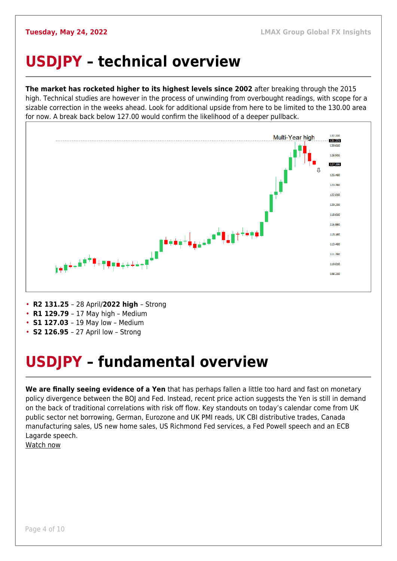## <span id="page-3-0"></span>**USDJPY – technical overview**

**The market has rocketed higher to its highest levels since 2002** after breaking through the 2015 high. Technical studies are however in the process of unwinding from overbought readings, with scope for a sizable correction in the weeks ahead. Look for additional upside from here to be limited to the 130.00 area for now. A break back below 127.00 would confirm the likelihood of a deeper pullback.



- **R2 131.25**  28 April/**2022 high**  Strong
- **R1 129.79**  17 May high Medium
- **S1 127.03**  19 May low Medium
- **S2 126.95**  27 April low Strong

## <span id="page-3-1"></span>**USDJPY – fundamental overview**

**We are finally seeing evidence of a Yen** that has perhaps fallen a little too hard and fast on monetary policy divergence between the BOJ and Fed. Instead, recent price action suggests the Yen is still in demand on the back of traditional correlations with risk off flow. Key standouts on today's calendar come from UK public sector net borrowing, German, Eurozone and UK PMI reads, UK CBI distributive trades, Canada manufacturing sales, US new home sales, US Richmond Fed services, a Fed Powell speech and an ECB Lagarde speech.

[Watch now](https://youtu.be/7RmvBqNOdgc)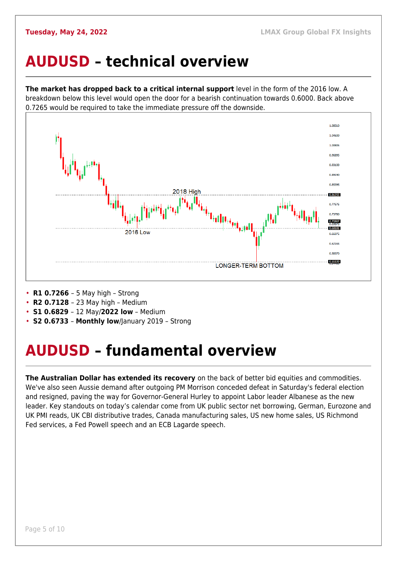### <span id="page-4-0"></span>**AUDUSD – technical overview**

**The market has dropped back to a critical internal support** level in the form of the 2016 low. A breakdown below this level would open the door for a bearish continuation towards 0.6000. Back above 0.7265 would be required to take the immediate pressure off the downside.



- **R1 0.7266**  5 May high Strong
- **R2 0.7128**  23 May high Medium
- **S1 0.6829**  12 May/**2022 low** Medium
- **S2 0.6733 Monthly low**/January 2019 Strong

## <span id="page-4-1"></span>**AUDUSD – fundamental overview**

**The Australian Dollar has extended its recovery** on the back of better bid equities and commodities. We've also seen Aussie demand after outgoing PM Morrison conceded defeat in Saturday's federal election and resigned, paving the way for Governor-General Hurley to appoint Labor leader Albanese as the new leader. Key standouts on today's calendar come from UK public sector net borrowing, German, Eurozone and UK PMI reads, UK CBI distributive trades, Canada manufacturing sales, US new home sales, US Richmond Fed services, a Fed Powell speech and an ECB Lagarde speech.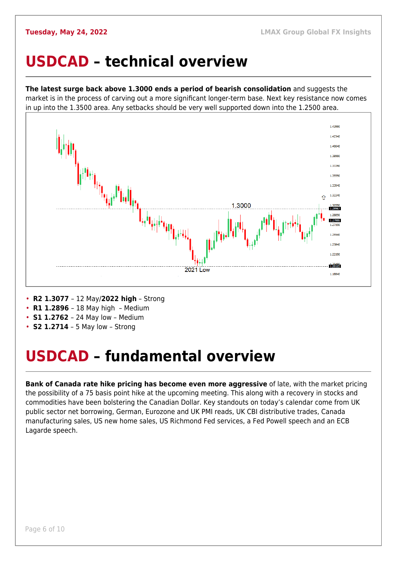### <span id="page-5-0"></span>**USDCAD – technical overview**

**The latest surge back above 1.3000 ends a period of bearish consolidation** and suggests the market is in the process of carving out a more significant longer-term base. Next key resistance now comes in up into the 1.3500 area. Any setbacks should be very well supported down into the 1.2500 area.



- **R2 1.3077**  12 May/**2022 high** Strong
- **R1 1.2896**  18 May high Medium
- **S1 1.2762**  24 May low Medium
- **S2 1.2714** 5 May low Strong

### <span id="page-5-1"></span>**USDCAD – fundamental overview**

**Bank of Canada rate hike pricing has become even more aggressive** of late, with the market pricing the possibility of a 75 basis point hike at the upcoming meeting. This along with a recovery in stocks and commodities have been bolstering the Canadian Dollar. Key standouts on today's calendar come from UK public sector net borrowing, German, Eurozone and UK PMI reads, UK CBI distributive trades, Canada manufacturing sales, US new home sales, US Richmond Fed services, a Fed Powell speech and an ECB Lagarde speech.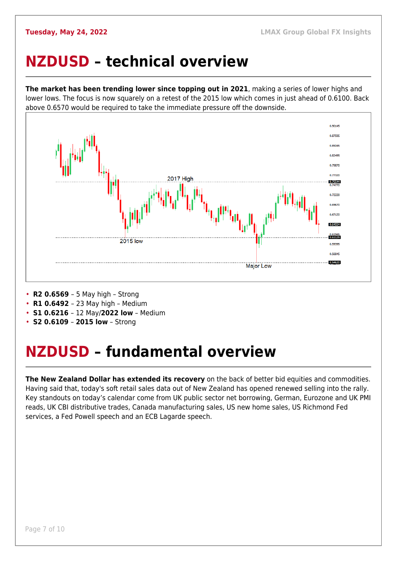### <span id="page-6-0"></span>**NZDUSD – technical overview**

**The market has been trending lower since topping out in 2021**, making a series of lower highs and lower lows. The focus is now squarely on a retest of the 2015 low which comes in just ahead of 0.6100. Back above 0.6570 would be required to take the immediate pressure off the downside.



- **R2 0.6569**  5 May high Strong
- **R1 0.6492**  23 May high Medium
- **S1 0.6216**  12 May/**2022 low** Medium
- **S2 0.6109 2015 low** Strong

## <span id="page-6-1"></span>**NZDUSD – fundamental overview**

**The New Zealand Dollar has extended its recovery** on the back of better bid equities and commodities. Having said that, today's soft retail sales data out of New Zealand has opened renewed selling into the rally. Key standouts on today's calendar come from UK public sector net borrowing, German, Eurozone and UK PMI reads, UK CBI distributive trades, Canada manufacturing sales, US new home sales, US Richmond Fed services, a Fed Powell speech and an ECB Lagarde speech.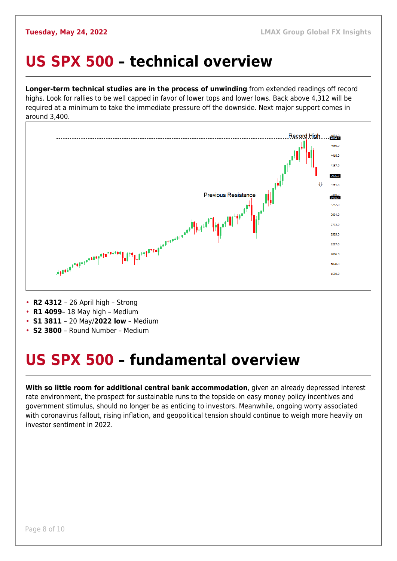### <span id="page-7-0"></span>**US SPX 500 – technical overview**

**Longer-term technical studies are in the process of unwinding** from extended readings off record highs. Look for rallies to be well capped in favor of lower tops and lower lows. Back above 4,312 will be required at a minimum to take the immediate pressure off the downside. Next major support comes in around 3,400.



- **R2 4312**  26 April high Strong
- **R1 4099** 18 May high Medium
- **S1 3811**  20 May/**2022 low** Medium
- **S2 3800**  Round Number Medium

## <span id="page-7-1"></span>**US SPX 500 – fundamental overview**

**With so little room for additional central bank accommodation**, given an already depressed interest rate environment, the prospect for sustainable runs to the topside on easy money policy incentives and government stimulus, should no longer be as enticing to investors. Meanwhile, ongoing worry associated with coronavirus fallout, rising inflation, and geopolitical tension should continue to weigh more heavily on investor sentiment in 2022.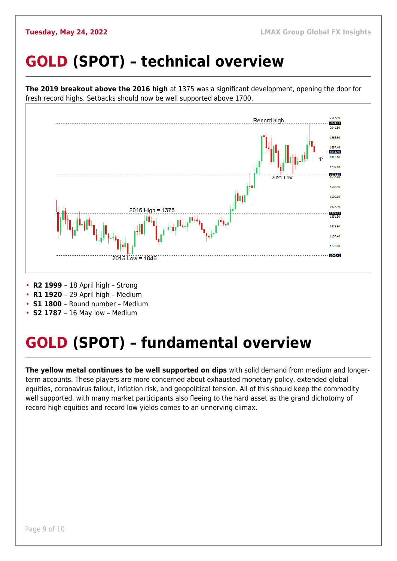## <span id="page-8-0"></span>**GOLD (SPOT) – technical overview**



- **R1 1920**  29 April high Medium
- 
- **S1 1800**  Round number Medium
- **S2 1787**  16 May low Medium

## <span id="page-8-1"></span>**GOLD (SPOT) – fundamental overview**

**The yellow metal continues to be well supported on dips** with solid demand from medium and longerterm accounts. These players are more concerned about exhausted monetary policy, extended global equities, coronavirus fallout, inflation risk, and geopolitical tension. All of this should keep the commodity well supported, with many market participants also fleeing to the hard asset as the grand dichotomy of record high equities and record low yields comes to an unnerving climax.